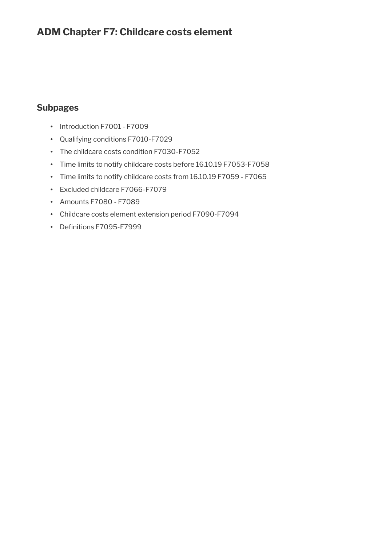# **ADM Chapter F7: Childcare costs element**

# **Subpages**

- Introduction F7001 F7009
- Qualifying conditions F7010-F7029
- The childcare costs condition F7030-F7052
- Time limits to notify childcare costs before 16.10.19 F7053-F7058
- Time limits to notify childcare costs from 16.10.19 F7059 F7065
- Excluded childcare F7066-F7079
- Amounts F7080 F7089
- Childcare costs element extension period F7090-F7094
- Definitions F7095-F7999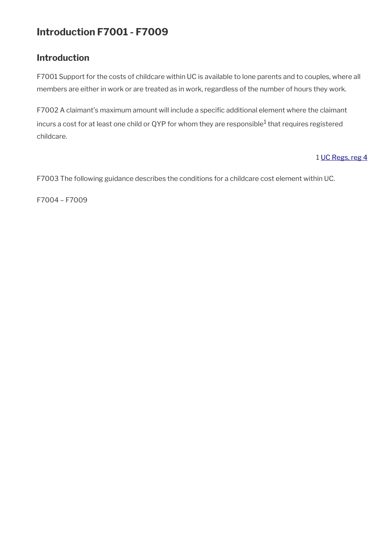# **Introduction F7001 - F7009**

# **Introduction**

F7001 Support for the costs of childcare within UC is available to lone parents and to couples, where all members are either in work or are treated as in work, regardless of the number of hours they work.

F7002 A claimant's maximum amount will include a specifc additional element where the claimant incurs a cost for at least one child or QYP for whom they are responsible $^1$  that requires registered childcare.

## 1 [UC Regs, reg 4](https://www.legislation.gov.uk/uksi/2013/376/regulation/4)

F7003 The following guidance describes the conditions for a childcare cost element within UC.

F7004 – F7009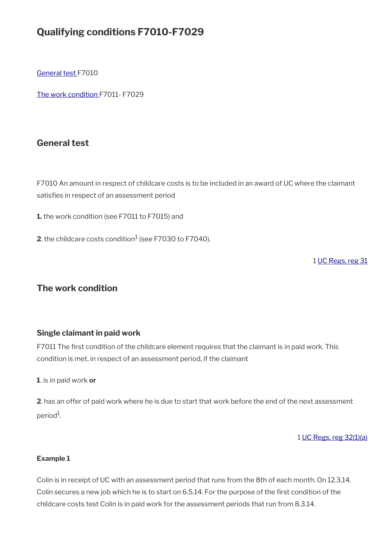# **Qualifying conditions F7010-F7029**

[General test](#page-2-1) F7010

[The work condition](#page-2-0) F7011- F7029

# <span id="page-2-1"></span>**General test**

F7010 An amount in respect of childcare costs is to be included in an award of UC where the claimant satisfies in respect of an assessment period

**1.** the work condition (see F7011 to F7015) and

**2**. the childcare costs condition $^1$  (see F7030 to F7040).

1 [UC Regs, reg 31](https://www.legislation.gov.uk/uksi/2013/376/regulation/31)

## <span id="page-2-0"></span>**The work condition**

### **Single claimant in paid work**

F7011 The first condition of the childcare element requires that the claimant is in paid work. This condition is met, in respect of an assessment period, if the claimant

**1**. is in paid work **or**

**2**. has an offer of paid work where he is due to start that work before the end of the next assessment period<sup>1</sup>.

#### 1 [UC Regs, reg 32\(1\)\(a\)](https://www.legislation.gov.uk/uksi/2013/376/regulation/32)

#### **Example 1**

Colin is in receipt of UC with an assessment period that runs from the 8th of each month. On 12.3.14. Colin secures a new job which he is to start on 6.5.14. For the purpose of the first condition of the childcare costs test Colin is in paid work for the assessment periods that run from 8.3.14.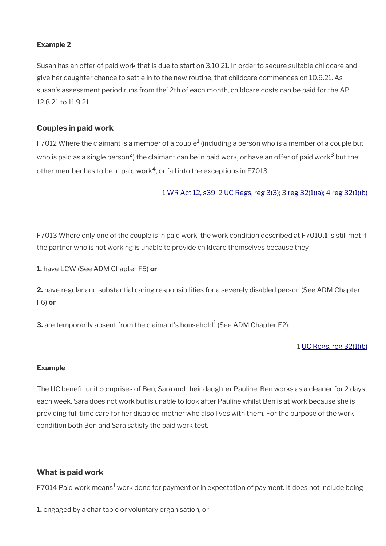#### **Example 2**

Susan has an offer of paid work that is due to start on 3.10.21. In order to secure suitable childcare and give her daughter chance to settle in to the new routine, that childcare commences on 10.9.21. As susan's assessment period runs from the12th of each month, childcare costs can be paid for the AP 12.8.21 to 11.9.21

### **Couples in paid work**

F7012 Where the claimant is a member of a couple<sup>1</sup> (including a person who is a member of a couple but who is paid as a single person<sup>2</sup>) the claimant can be in paid work, or have an offer of paid work $^3$  but the other member has to be in paid work $^4$ , or fall into the exceptions in F7013.

1 [WR Act 12, s39](https://www.legislation.gov.uk/ukpga/2012/5/section/39); 2 [UC Regs, reg 3\(3\)](https://www.legislation.gov.uk/uksi/2013/376/regulation/3); 3 [reg 32\(1\)\(a\)](https://www.legislation.gov.uk/uksi/2013/376/regulation/32); 4 [reg 32\(1\)\(b\)](https://www.legislation.gov.uk/uksi/2013/376/regulation/32)

F7013 Where only one of the couple is in paid work, the work condition described at F7010**.1** is still met if the partner who is not working is unable to provide childcare themselves because they

**1.** have LCW (See ADM Chapter F5) **or**

**2.** have regular and substantial caring responsibilities for a severely disabled person (See ADM Chapter F6) **or**

**3.** are temporarily absent from the claimant's household $^1$  (See ADM Chapter E2).

#### 1 [UC Regs, reg 32\(1\)\(b\)](https://www.legislation.gov.uk/uksi/2013/376/regulation/32)

#### **Example**

The UC benefit unit comprises of Ben, Sara and their daughter Pauline. Ben works as a cleaner for 2 days each week, Sara does not work but is unable to look after Pauline whilst Ben is at work because she is providing full time care for her disabled mother who also lives with them. For the purpose of the work condition both Ben and Sara satisfy the paid work test.

#### **What is paid work**

F7014 Paid work means $^1$  work done for payment or in expectation of payment. It does not include being

**1.** engaged by a charitable or voluntary organisation, or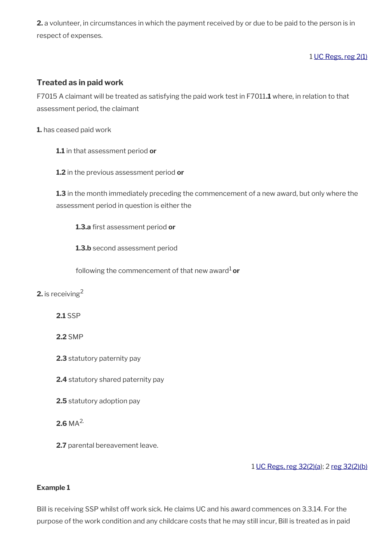**2.** a volunteer, in circumstances in which the payment received by or due to be paid to the person is in respect of expenses.

### 1 [UC Regs, reg 2\(1\)](https://www.legislation.gov.uk/uksi/2013/376/regulation/2)

## **Treated as in paid work**

F7015 A claimant will be treated as satisfying the paid work test in F7011**.1** where, in relation to that assessment period, the claimant

**1.** has ceased paid work

- **1.1** in that assessment period **or**
- **1.2** in the previous assessment period **or**

**1.3** in the month immediately preceding the commencement of a new award, but only where the assessment period in question is either the

**1.3.a** first assessment period or

**1.3.b** second assessment period

following the commencement of that new award<sup>1</sup> or

### **2.** is receiving<sup>2</sup>

**2.1** SSP

### **2.2** SMP

- **2.3** statutory paternity pay
- **2.4** statutory shared paternity pay
- **2.5** statutory adoption pay

### **2.6** MA2.

**2.7** parental bereavement leave.

1 [UC Regs, reg 32\(2\)\(a\)](https://www.legislation.gov.uk/uksi/2013/376/regulation/32); 2 [reg 32\(2\)\(b\)](https://www.legislation.gov.uk/uksi/2013/376/regulation/32)

#### **Example 1**

Bill is receiving SSP whilst off work sick. He claims UC and his award commences on 3.3.14. For the purpose of the work condition and any childcare costs that he may still incur, Bill is treated as in paid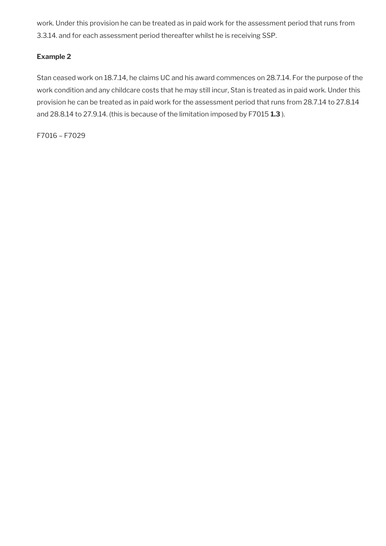work. Under this provision he can be treated as in paid work for the assessment period that runs from 3.3.14. and for each assessment period thereafter whilst he is receiving SSP.

### **Example 2**

Stan ceased work on 18.7.14, he claims UC and his award commences on 28.7.14. For the purpose of the work condition and any childcare costs that he may still incur, Stan is treated as in paid work. Under this provision he can be treated as in paid work for the assessment period that runs from 28.7.14 to 27.8.14 and 28.8.14 to 27.9.14. (this is because of the limitation imposed by F7015 **1.3** ).

F7016 – F7029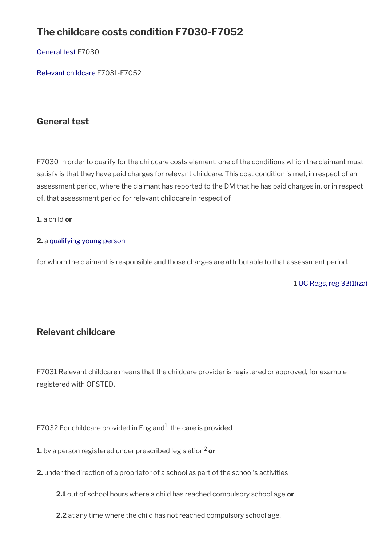# **The childcare costs condition F7030-F7052**

## [General test](#page-2-1) F7030

[Relevant childcare](#page-6-0) F7031-F7052

# **General test**

F7030 In order to qualify for the childcare costs element, one of the conditions which the claimant must satisfy is that they have paid charges for relevant childcare. This cost condition is met, in respect of an assessment period, where the claimant has reported to the DM that he has paid charges in. or in respect of, that assessment period for relevant childcare in respect of

### **1.** a child **or**

### **2.** a [qualifying young person](https://intranet.dwp.gov.uk/manual/advice-decision-making-adm/definitions-f7095-f7999#Qualifying%20young%20person)

for whom the claimant is responsible and those charges are attributable to that assessment period.

1 [UC Regs, reg 33\(1\)\(za\)](https://www.legislation.gov.uk/uksi/2013/376/regulation/4https://www.legislation.gov.uk/uksi/2013)

# <span id="page-6-0"></span>**Relevant childcare**

F7031 Relevant childcare means that the childcare provider is registered or approved, for example registered with OFSTED.

F7032 For childcare provided in England<sup>1</sup>, the care is provided

**1.** by a person registered under prescribed legislation<sup>2</sup> or

- **2.** under the direction of a proprietor of a school as part of the school's activities
	- **2.1** out of school hours where a child has reached compulsory school age **or**
	- **2.2** at any time where the child has not reached compulsory school age.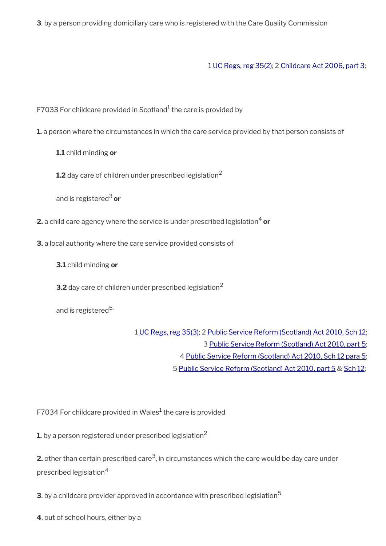**3**. by a person providing domiciliary care who is registered with the Care Quality Commission

1 [UC Regs, reg 35\(2\);](https://www.legislation.gov.uk/uksi/2013/376/regulation/35) 2 [Childcare Act 2006, part 3](https://www.legislation.gov.uk/ukpga/2006/21/part/3);

F7033 For childcare provided in Scotland<sup>1</sup> the care is provided by

**1.** a person where the circumstances in which the care service provided by that person consists of

**1.1** child minding **or**

**1.2** day care of children under prescribed legislation<sup>2</sup>

and is registered3 **or**

**2.** a child care agency where the service is under prescribed legislation<sup>4</sup> or

**3.** a local authority where the care service provided consists of

**3.1** child minding **or**

**3.2** day care of children under prescribed legislation<sup>2</sup>

and is registered<sup>5.</sup>

 [UC Regs, reg 35\(3\);](https://www.legislation.gov.uk/uksi/2013/376/regulation/35) 2 [Public Service Reform \(Scotland\) Act 2010, Sch 12;](https://www.legislation.gov.uk/asp/2010/8/schedule/12) [Public Service Reform \(Scotland\) Act 2010, part 5;](https://www.legislation.gov.uk/asp/2010/8/part/5) [Public Service Reform \(Scotland\) Act 2010, Sch 12 para 5;](https://www.legislation.gov.uk/asp/2010/8/schedule/12) [Public Service Reform \(Scotland\) Act 2010](https://www.legislation.gov.uk/asp/2010/8/introduction) [, part 5](https://www.legislation.gov.uk/asp/2010/8/part/5) & [Sch 12](https://www.legislation.gov.uk/asp/2010/8/schedule/12);

F7034 For childcare provided in Wales $^1$  the care is provided

**1.** by a person registered under prescribed legislation<sup>2</sup>

**2.** other than certain prescribed care $^3$ , in circumstances which the care would be day care under prescribed legislation<sup>4</sup>

**3**. by a childcare provider approved in accordance with prescribed legislation<sup>5</sup>

**4**. out of school hours, either by a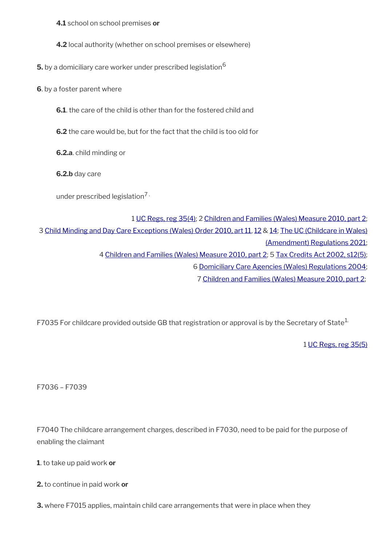**4.1** school on school premises **or**

**4.2** local authority (whether on school premises or elsewhere)

**5.** by a domiciliary care worker under prescribed legislation<sup>6</sup>

**6**. by a foster parent where

**6.1**. the care of the child is other than for the fostered child and

**6.2** the care would be, but for the fact that the child is too old for

**6.2.a**. child minding or

**6.2.b** day care

under prescribed legislation $7 \cdot$ 

 [UC Regs, reg 35\(4\);](https://www.legislation.gov.uk/uksi/2013/376/regulation/35) 2 [Children and Families \(Wales\) Measure 2010, part 2;](https://www.legislation.gov.uk/mwa/2010/1/part/2)  [Child Minding and Day Care Exceptions \(Wales\) Order 2010, art 11,](https://www.legislation.gov.uk/wsi/2010/2839/article/11/made) [12](https://www.legislation.gov.uk/wsi/2010/2839/article/12/made) & [14;](https://www.legislation.gov.uk/wsi/2010/2839/article/14/made) [The UC \(Childcare in Wales\)](https://www.legislation.gov.uk/uksi/2021/228/contents/made) [\(Amendment\) Regulations 2021;](https://www.legislation.gov.uk/uksi/2021/228/contents/made)  [Children and Families \(Wales\) Measure 2010, part 2;](https://www.legislation.gov.uk/mwa/2010/1/part/2) 5 [Tax Credits Act 2002, s12\(5\);](https://www.legislation.gov.uk/ukpga/2002/21/section/12)  [Domiciliary Care Agencies \(Wales\) Regulations 2004;](https://www.legislation.gov.uk/wsi/2004/219/contents/made) [Children and Families \(Wales\) Measure 2010, part 2](https://www.legislation.gov.uk/mwa/2010/1/part/2);

F7035 For childcare provided outside GB that registration or approval is by the Secretary of State<sup>1.</sup>

1 [UC Regs, reg 35\(5\)](https://www.legislation.gov.uk/uksi/2013/376/regulation/35)

F7036 – F7039

F7040 The childcare arrangement charges, described in F7030, need to be paid for the purpose of enabling the claimant

**1**. to take up paid work **or**

**2.** to continue in paid work **or**

**3.** where F7015 applies, maintain child care arrangements that were in place when they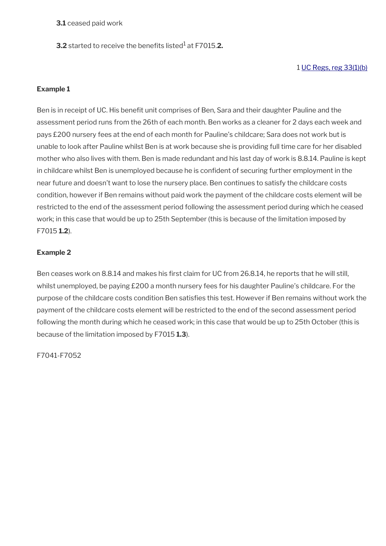**3.1** ceased paid work

**3.2** started to receive the benefits listed<sup>1</sup> at F7015.**2.** 

### 1 [UC Regs, reg 33\(1\)\(b\)](https://www.legislation.gov.uk/uksi/2013/376/regulation/33)

#### **Example 1**

Ben is in receipt of UC. His benefit unit comprises of Ben, Sara and their daughter Pauline and the assessment period runs from the 26th of each month. Ben works as a cleaner for 2 days each week and pays £200 nursery fees at the end of each month for Pauline's childcare; Sara does not work but is unable to look after Pauline whilst Ben is at work because she is providing full time care for her disabled mother who also lives with them. Ben is made redundant and his last day of work is 8.8.14. Pauline is kept in childcare whilst Ben is unemployed because he is confdent of securing further employment in the near future and doesn't want to lose the nursery place. Ben continues to satisfy the childcare costs condition, however if Ben remains without paid work the payment of the childcare costs element will be restricted to the end of the assessment period following the assessment period during which he ceased work; in this case that would be up to 25th September (this is because of the limitation imposed by F7015 **1.2**).

### **Example 2**

Ben ceases work on 8.8.14 and makes his first claim for UC from 26.8.14, he reports that he will still, whilst unemployed, be paying £200 a month nursery fees for his daughter Pauline's childcare. For the purpose of the childcare costs condition Ben satisfies this test. However if Ben remains without work the payment of the childcare costs element will be restricted to the end of the second assessment period following the month during which he ceased work; in this case that would be up to 25th October (this is because of the limitation imposed by F7015 **1.3**).

F7041-F7052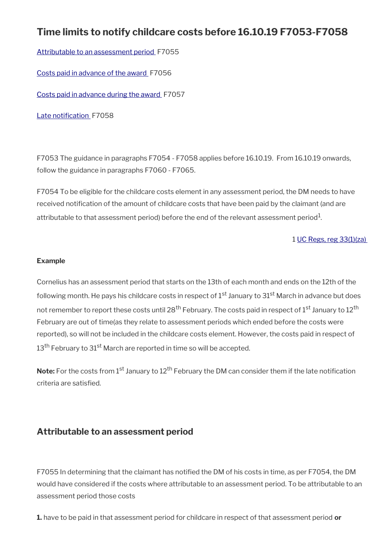# **Time limits to notify childcare costs before 16.10.19 F7053-F7058**

[Attributable to an assessment period](#page-10-0) F7055

[Costs paid in advance of the award](#page-11-0) F7056

[Costs paid in advance during the award](#page-12-0) F7057

Late notification F7058

F7053 The guidance in paragraphs F7054 - F7058 applies before 16.10.19. From 16.10.19 onwards, follow the guidance in paragraphs F7060 - F7065.

F7054 To be eligible for the childcare costs element in any assessment period, the DM needs to have received notifcation of the amount of childcare costs that have been paid by the claimant (and are attributable to that assessment period) before the end of the relevant assessment period $^{\rm 1}$ .

1 [UC Regs, reg 33\(1\)\(za\)](https://www.legislation.gov.uk/uksi/2013/376/regulation/33) 

#### **Example**

Cornelius has an assessment period that starts on the 13th of each month and ends on the 12th of the following month. He pays his childcare costs in respect of  $1<sup>st</sup>$  January to  $31<sup>st</sup>$  March in advance but does not remember to report these costs until 28<sup>th</sup> February. The costs paid in respect of 1<sup>st</sup> January to 12<sup>th</sup> February are out of time(as they relate to assessment periods which ended before the costs were reported), so will not be included in the childcare costs element. However, the costs paid in respect of 13<sup>th</sup> February to 31<sup>st</sup> March are reported in time so will be accepted.

**Note:** For the costs from 1<sup>st</sup> January to 12<sup>th</sup> February the DM can consider them if the late notification criteria are satisfed.

# <span id="page-10-0"></span>**Attributable to an assessment period**

F7055 In determining that the claimant has notifed the DM of his costs in time, as per F7054, the DM would have considered if the costs where attributable to an assessment period. To be attributable to an assessment period those costs

**1.** have to be paid in that assessment period for childcare in respect of that assessment period **or**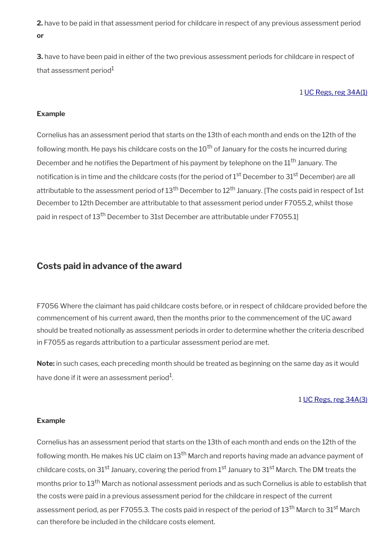**2.** have to be paid in that assessment period for childcare in respect of any previous assessment period **or**

**3.** have to have been paid in either of the two previous assessment periods for childcare in respect of that assessment period $1$ 

#### 1 [UC Regs, reg 34A\(1\)](https://www.legislation.gov.uk/uksi/2013/376/regulation/34A)

#### **Example**

Cornelius has an assessment period that starts on the 13th of each month and ends on the 12th of the following month. He pays his childcare costs on the  $10<sup>th</sup>$  of January for the costs he incurred during December and he notifies the Department of his payment by telephone on the 11<sup>th</sup> January. The notification is in time and the childcare costs (for the period of 1<sup>st</sup> December to 31<sup>st</sup> December) are all attributable to the assessment period of 13<sup>th</sup> December to 12<sup>th</sup> January. [The costs paid in respect of 1st December to 12th December are attributable to that assessment period under F7055.2, whilst those paid in respect of 13<sup>th</sup> December to 31st December are attributable under F7055.1]

### <span id="page-11-0"></span>**Costs paid in advance of the award**

F7056 Where the claimant has paid childcare costs before, or in respect of childcare provided before the commencement of his current award, then the months prior to the commencement of the UC award should be treated notionally as assessment periods in order to determine whether the criteria described in F7055 as regards attribution to a particular assessment period are met.

**Note:** in such cases, each preceding month should be treated as beginning on the same day as it would have done if it were an assessment period $^1\!$ 

#### 1 [UC Regs, reg 34A\(3\)](https://www.legislation.gov.uk/uksi/2013/376/regulation/34A)

#### **Example**

Cornelius has an assessment period that starts on the 13th of each month and ends on the 12th of the following month. He makes his UC claim on  $13<sup>th</sup>$  March and reports having made an advance payment of childcare costs, on 31<sup>st</sup> January, covering the period from 1<sup>st</sup> January to 31<sup>st</sup> March. The DM treats the months prior to 13th March as notional assessment periods and as such Cornelius is able to establish that the costs were paid in a previous assessment period for the childcare in respect of the current assessment period, as per F7055.3. The costs paid in respect of the period of 13<sup>th</sup> March to 31<sup>st</sup> March can therefore be included in the childcare costs element.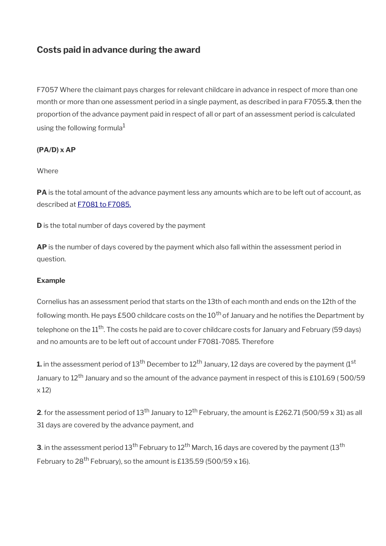# <span id="page-12-0"></span>**Costs paid in advance during the award**

F7057 Where the claimant pays charges for relevant childcare in advance in respect of more than one month or more than one assessment period in a single payment, as described in para F7055.**3**, then the proportion of the advance payment paid in respect of all or part of an assessment period is calculated using the following formula $1$ 

### **(PA/D) x AP**

#### Where

PA is the total amount of the advance payment less any amounts which are to be left out of account, as described at [F7081 to F7085.](http://intralink/1/lg/acileeds/guidance/adm/dwp_t758936.asp#P145_12882)

**D** is the total number of days covered by the payment

**AP** is the number of days covered by the payment which also fall within the assessment period in question.

#### **Example**

Cornelius has an assessment period that starts on the 13th of each month and ends on the 12th of the following month. He pays £500 childcare costs on the  $10<sup>th</sup>$  of January and he notifies the Department by telephone on the 11<sup>th</sup>. The costs he paid are to cover childcare costs for January and February (59 days) and no amounts are to be left out of account under F7081-7085. Therefore

**1.** in the assessment period of 13<sup>th</sup> December to 12<sup>th</sup> January, 12 days are covered by the payment (1<sup>st</sup> January to 12<sup>th</sup> January and so the amount of the advance payment in respect of this is £101.69 (500/59 x 12)

**2**. for the assessment period of 13<sup>th</sup> January to 12<sup>th</sup> February, the amount is £262.71 (500/59 x 31) as all 31 days are covered by the advance payment, and

**3**. in the assessment period 13<sup>th</sup> February to 12<sup>th</sup> March, 16 days are covered by the payment (13<sup>th</sup>) February to 28<sup>th</sup> February), so the amount is £135.59 (500/59 x 16).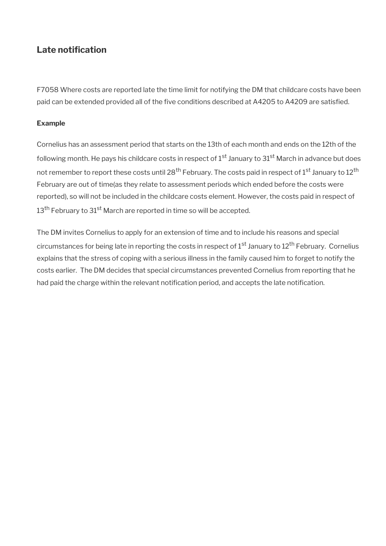# <span id="page-13-0"></span>Late notification

F7058 Where costs are reported late the time limit for notifying the DM that childcare costs have been paid can be extended provided all of the five conditions described at A4205 to A4209 are satisfied.

#### **Example**

Cornelius has an assessment period that starts on the 13th of each month and ends on the 12th of the following month. He pays his childcare costs in respect of  $1<sup>st</sup>$  January to  $31<sup>st</sup>$  March in advance but does not remember to report these costs until 28<sup>th</sup> February. The costs paid in respect of 1<sup>st</sup> January to 12<sup>th</sup> February are out of time(as they relate to assessment periods which ended before the costs were reported), so will not be included in the childcare costs element. However, the costs paid in respect of 13<sup>th</sup> February to 31<sup>st</sup> March are reported in time so will be accepted.

The DM invites Cornelius to apply for an extension of time and to include his reasons and special circumstances for being late in reporting the costs in respect of 1<sup>st</sup> January to 12<sup>th</sup> February. Cornelius explains that the stress of coping with a serious illness in the family caused him to forget to notify the costs earlier. The DM decides that special circumstances prevented Cornelius from reporting that he had paid the charge within the relevant notification period, and accepts the late notification.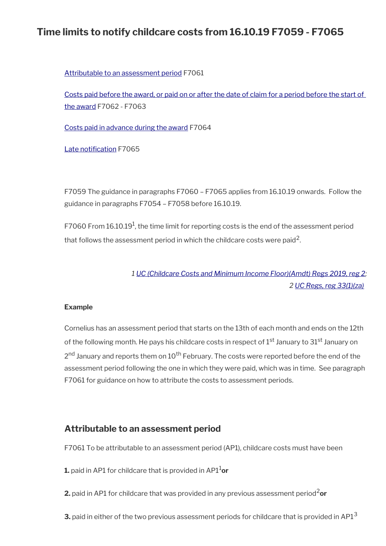# **Time limits to notify childcare costs from 16.10.19 F7059 - F7065**

[Attributable to an assessment period](#page-14-0) F7061

[Costs paid before the award, or paid on or after the date of claim for a period before the start of](#page-15-0)  [the award](#page-15-0) F7062 - F7063

[Costs paid in advance during the award](#page-17-0) F7064

Late notification F7065

F7059 The guidance in paragraphs F7060 – F7065 applies from 16.10.19 onwards. Follow the guidance in paragraphs F7054 – F7058 before 16.10.19.

F7060 From 16.10.19<sup>1</sup>, the time limit for reporting costs is the end of the assessment period that follows the assessment period in which the childcare costs were paid<sup>2</sup>.

# *1 [UC \(Childcare Costs and Minimum Income Floor\)\(Amdt\) Regs 2019, reg 2;](https://www.legislation.gov.uk/uksi/2019/1249/regulation/2/made) 2 [UC Regs, reg 33\(1\)\(za\)](https://www.legislation.gov.uk/uksi/2013/376/regulation/33)*

#### **Example**

Cornelius has an assessment period that starts on the 13th of each month and ends on the 12th of the following month. He pays his childcare costs in respect of  $1<sup>st</sup>$  January to  $31<sup>st</sup>$  January on 2<sup>nd</sup> January and reports them on 10<sup>th</sup> February. The costs were reported before the end of the assessment period following the one in which they were paid, which was in time. See paragraph F7061 for guidance on how to attribute the costs to assessment periods.

# <span id="page-14-0"></span>**Attributable to an assessment period**

F7061 To be attributable to an assessment period (AP1), childcare costs must have been

- **1.** paid in AP1 for childcare that is provided in AP11**or**
- **2.** paid in AP1 for childcare that was provided in any previous assessment period<sup>2</sup>or
- **3.** paid in either of the two previous assessment periods for childcare that is provided in AP1<sup>3</sup>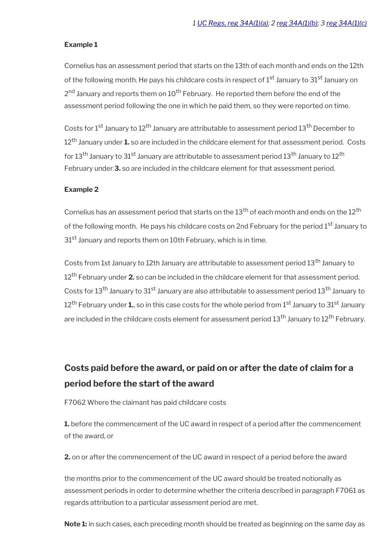#### **Example 1**

Cornelius has an assessment period that starts on the 13th of each month and ends on the 12th of the following month. He pays his childcare costs in respect of  $1<sup>st</sup>$  January to  $31<sup>st</sup>$  January on 2<sup>nd</sup> January and reports them on 10<sup>th</sup> February. He reported them before the end of the assessment period following the one in which he paid them, so they were reported on time.

Costs for 1<sup>st</sup> January to 12<sup>th</sup> January are attributable to assessment period 13<sup>th</sup> December to 12th January under **1.** so are included in the childcare element for that assessment period. Costs for 13<sup>th</sup> January to 31<sup>st</sup> January are attributable to assessment period 13<sup>th</sup> January to 12<sup>th</sup> February under **3.** so are included in the childcare element for that assessment period.

#### **Example 2**

Cornelius has an assessment period that starts on the  $13<sup>th</sup>$  of each month and ends on the  $12<sup>th</sup>$ of the following month. He pays his childcare costs on 2nd February for the period 1<sup>st</sup> January to 31<sup>st</sup> January and reports them on 10th February, which is in time.

Costs from 1st January to 12th January are attributable to assessment period 13<sup>th</sup> January to 12th February under **2.** so can be included in the childcare element for that assessment period. Costs for 13<sup>th</sup> January to 31<sup>st</sup> January are also attributable to assessment period 13<sup>th</sup> January to 12<sup>th</sup> February under **1.**, so in this case costs for the whole period from 1<sup>st</sup> January to 31<sup>st</sup> January are included in the childcare costs element for assessment period 13<sup>th</sup> January to 12<sup>th</sup> February.

# <span id="page-15-0"></span>**Costs paid before the award, or paid on or after the date of claim for a period before the start of the award**

F7062 Where the claimant has paid childcare costs

**1.** before the commencement of the UC award in respect of a period after the commencement of the award, or

**2.** on or after the commencement of the UC award in respect of a period before the award

the months prior to the commencement of the UC award should be treated notionally as assessment periods in order to determine whether the criteria described in paragraph F7061 as regards attribution to a particular assessment period are met.

**Note 1:** in such cases, each preceding month should be treated as beginning on the same day as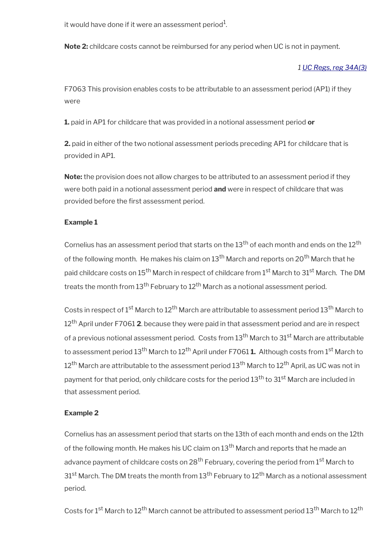it would have done if it were an assessment period $^{\rm 1}$ .

**Note 2:** childcare costs cannot be reimbursed for any period when UC is not in payment.

#### *1 [UC Regs, reg 34A\(3\)](https://www.legislation.gov.uk/uksi/2013/376/regulation/34A)*

F7063 This provision enables costs to be attributable to an assessment period (AP1) if they were

**1.** paid in AP1 for childcare that was provided in a notional assessment period **or**

**2.** paid in either of the two notional assessment periods preceding AP1 for childcare that is provided in AP1.

**Note:** the provision does not allow charges to be attributed to an assessment period if they were both paid in a notional assessment period **and** were in respect of childcare that was provided before the first assessment period.

### **Example 1**

Cornelius has an assessment period that starts on the 13<sup>th</sup> of each month and ends on the 12<sup>th</sup> of the following month. He makes his claim on 13<sup>th</sup> March and reports on 20<sup>th</sup> March that he paid childcare costs on 15<sup>th</sup> March in respect of childcare from 1<sup>st</sup> March to 31<sup>st</sup> March. The DM treats the month from  $13<sup>th</sup>$  February to  $12<sup>th</sup>$  March as a notional assessment period.

Costs in respect of 1<sup>st</sup> March to 12<sup>th</sup> March are attributable to assessment period 13<sup>th</sup> March to 12th April under F7061 **2**. because they were paid in that assessment period and are in respect of a previous notional assessment period. Costs from 13<sup>th</sup> March to 31<sup>st</sup> March are attributable to assessment period 13<sup>th</sup> March to 12<sup>th</sup> April under F7061 **1.** Although costs from 1<sup>st</sup> March to  $12^{\text{th}}$  March are attributable to the assessment period 13<sup>th</sup> March to 12<sup>th</sup> April, as UC was not in payment for that period, only childcare costs for the period 13<sup>th</sup> to 31<sup>st</sup> March are included in that assessment period.

#### **Example 2**

Cornelius has an assessment period that starts on the 13th of each month and ends on the 12th of the following month. He makes his UC claim on 13<sup>th</sup> March and reports that he made an advance payment of childcare costs on  $28<sup>th</sup>$  February, covering the period from  $1<sup>st</sup>$  March to  $31<sup>st</sup>$  March. The DM treats the month from  $13<sup>th</sup>$  February to  $12<sup>th</sup>$  March as a notional assessment period.

Costs for 1<sup>st</sup> March to 12<sup>th</sup> March cannot be attributed to assessment period 13<sup>th</sup> March to 12<sup>th</sup>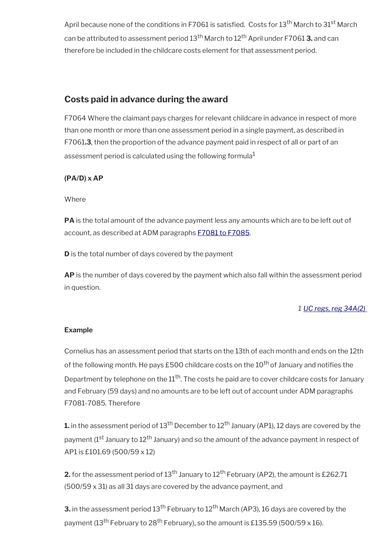April because none of the conditions in F7061 is satisfied. Costs for  $13<sup>th</sup>$  March to  $31<sup>st</sup>$  March can be attributed to assessment period 13th March to 12th April under F7061 **3.** and can therefore be included in the childcare costs element for that assessment period.

# <span id="page-17-0"></span>**Costs paid in advance during the award**

F7064 Where the claimant pays charges for relevant childcare in advance in respect of more than one month or more than one assessment period in a single payment, as described in F7061**.3**, then the proportion of the advance payment paid in respect of all or part of an assessment period is calculated using the following formula $1$ 

## **(PA/D) x AP**

Where

**PA** is the total amount of the advance payment less any amounts which are to be left out of account, as described at ADM paragraphs **F7081** to F7085.

**D** is the total number of days covered by the payment

**AP** is the number of days covered by the payment which also fall within the assessment period in question.

## *1 [UC regs, reg 34A\(2\)](https://www.legislation.gov.uk/uksi/2013/376/regulation/34A)*

### **Example**

Cornelius has an assessment period that starts on the 13th of each month and ends on the 12th of the following month. He pays £500 childcare costs on the  $10<sup>th</sup>$  of January and notifies the Department by telephone on the  $11<sup>th</sup>$ . The costs he paid are to cover childcare costs for January and February (59 days) and no amounts are to be left out of account under ADM paragraphs F7081-7085. Therefore

**1.** in the assessment period of 13<sup>th</sup> December to 12<sup>th</sup> January (AP1), 12 days are covered by the payment (1<sup>st</sup> January to 12<sup>th</sup> January) and so the amount of the advance payment in respect of AP1 is £101.69 (500/59 x 12)

**2.** for the assessment period of 13<sup>th</sup> January to 12<sup>th</sup> February (AP2), the amount is £262.71 (500/59 x 31) as all 31 days are covered by the advance payment, and

**3.** in the assessment period 13<sup>th</sup> February to 12<sup>th</sup> March (AP3), 16 days are covered by the payment (13<sup>th</sup> February to 28<sup>th</sup> February), so the amount is £135.59 (500/59 x 16).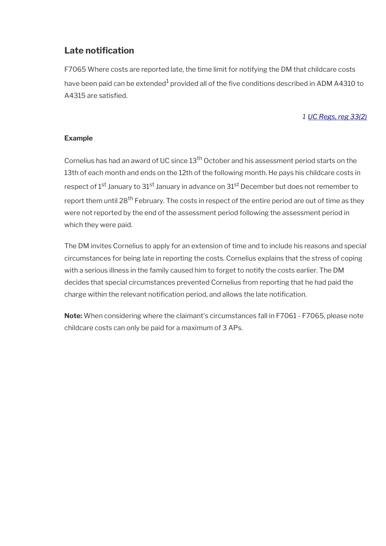# <span id="page-18-0"></span>Late notification

F7065 Where costs are reported late, the time limit for notifying the DM that childcare costs have been paid can be extended $^{\rm 1}$  provided all of the five conditions described in ADM A4310 to A4315 are satisfied.

### *1 [UC Regs, reg 33\(2\)](https://www.legislation.gov.uk/uksi/2013/376/regulation/33)*

### **Example**

Cornelius has had an award of UC since 13<sup>th</sup> October and his assessment period starts on the 13th of each month and ends on the 12th of the following month. He pays his childcare costs in respect of 1<sup>st</sup> January to 31<sup>st</sup> January in advance on 31<sup>st</sup> December but does not remember to report them until 28<sup>th</sup> February. The costs in respect of the entire period are out of time as they were not reported by the end of the assessment period following the assessment period in which they were paid.

The DM invites Cornelius to apply for an extension of time and to include his reasons and special circumstances for being late in reporting the costs. Cornelius explains that the stress of coping with a serious illness in the family caused him to forget to notify the costs earlier. The DM decides that special circumstances prevented Cornelius from reporting that he had paid the charge within the relevant notifcation period, and allows the late notifcation.

**Note:** When considering where the claimant's circumstances fall in F7061 - F7065, please note childcare costs can only be paid for a maximum of 3 APs.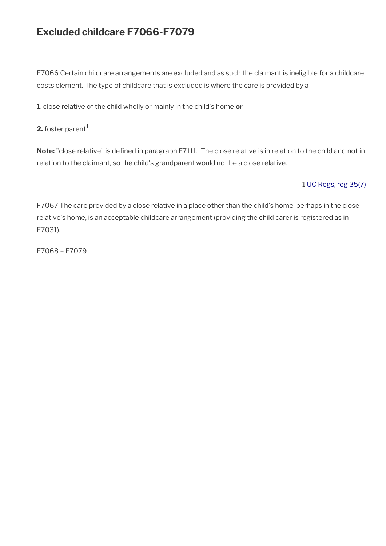# **Excluded childcare F7066-F7079**

F7066 Certain childcare arrangements are excluded and as such the claimant is ineligible for a childcare costs element. The type of childcare that is excluded is where the care is provided by a

**1**. close relative of the child wholly or mainly in the child's home **or**

**2.** foster parent<sup>1.</sup>

Note: "close relative" is defined in paragraph F7111. The close relative is in relation to the child and not in relation to the claimant, so the child's grandparent would not be a close relative.

## 1 [UC Regs, reg 35\(7\)](https://www.legislation.gov.uk/uksi/2013/376/regulation/35)

F7067 The care provided by a close relative in a place other than the child's home, perhaps in the close relative's home, is an acceptable childcare arrangement (providing the child carer is registered as in F7031).

F7068 – F7079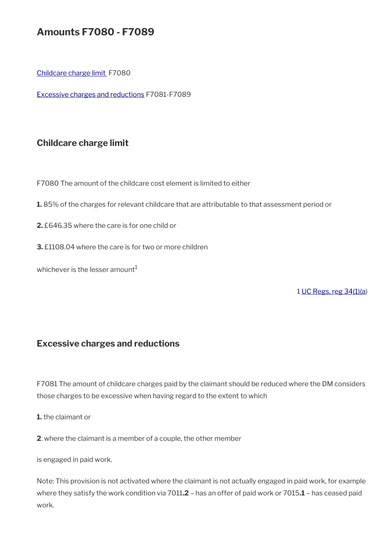# **Amounts F7080 - F7089**

[Childcare charge limit](#page-20-1) F7080

[Excessive charges and reductions](#page-20-0) F7081-F7089

# <span id="page-20-1"></span>**Childcare charge limit**

F7080 The amount of the childcare cost element is limited to either

**1.** 85% of the charges for relevant childcare that are attributable to that assessment period or

- **2.** £646.35 where the care is for one child or
- **3.** £1108.04 where the care is for two or more children

whichever is the lesser amount $1$ 

1 [UC Regs, reg 34\(1\)\(a](https://www.legislation.gov.uk/uksi/2013/376/regulation/34))

## <span id="page-20-0"></span>**Excessive charges and reductions**

F7081 The amount of childcare charges paid by the claimant should be reduced where the DM considers those charges to be excessive when having regard to the extent to which

**1.** the claimant or

**2**. where the claimant is a member of a couple, the other member

is engaged in paid work.

Note: This provision is not activated where the claimant is not actually engaged in paid work, for example where they satisfy the work condition via 7011**.2** – has an offer of paid work or 7015**.1** – has ceased paid work.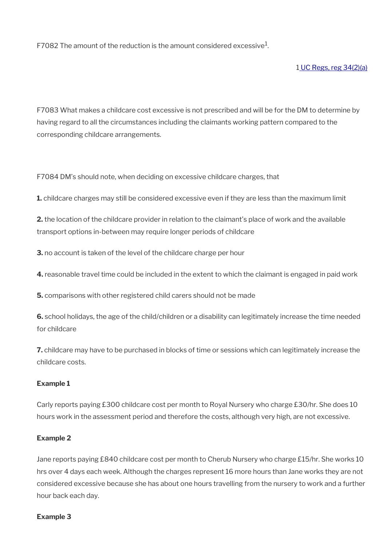F7082 The amount of the reduction is the amount considered excessive $^1\!\!$ .

#### 1 [UC Regs, reg 34\(2\)\(a\)](https://www.legislation.gov.uk/uksi/2013/376/regulation/34)

F7083 What makes a childcare cost excessive is not prescribed and will be for the DM to determine by having regard to all the circumstances including the claimants working pattern compared to the corresponding childcare arrangements.

F7084 DM's should note, when deciding on excessive childcare charges, that

**1.** childcare charges may still be considered excessive even if they are less than the maximum limit

**2.** the location of the childcare provider in relation to the claimant's place of work and the available transport options in-between may require longer periods of childcare

**3.** no account is taken of the level of the childcare charge per hour

**4.** reasonable travel time could be included in the extent to which the claimant is engaged in paid work

**5.** comparisons with other registered child carers should not be made

**6.** school holidays, the age of the child/children or a disability can legitimately increase the time needed for childcare

**7.** childcare may have to be purchased in blocks of time or sessions which can legitimately increase the childcare costs.

#### **Example 1**

Carly reports paying £300 childcare cost per month to Royal Nursery who charge £30/hr. She does 10 hours work in the assessment period and therefore the costs, although very high, are not excessive.

#### **Example 2**

Jane reports paying £840 childcare cost per month to Cherub Nursery who charge £15/hr. She works 10 hrs over 4 days each week. Although the charges represent 16 more hours than Jane works they are not considered excessive because she has about one hours travelling from the nursery to work and a further hour back each day.

#### **Example 3**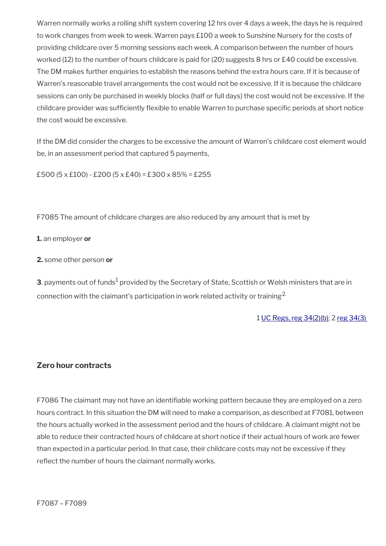Warren normally works a rolling shift system covering 12 hrs over 4 days a week, the days he is required to work changes from week to week. Warren pays £100 a week to Sunshine Nursery for the costs of providing childcare over 5 morning sessions each week. A comparison between the number of hours worked (12) to the number of hours childcare is paid for (20) suggests 8 hrs or £40 could be excessive. The DM makes further enquiries to establish the reasons behind the extra hours care. If it is because of Warren's reasonable travel arrangements the cost would not be excessive. If it is because the childcare sessions can only be purchased in weekly blocks (half or full days) the cost would not be excessive. If the childcare provider was sufficiently flexible to enable Warren to purchase specific periods at short notice the cost would be excessive.

If the DM did consider the charges to be excessive the amount of Warren's childcare cost element would be, in an assessment period that captured 5 payments,

£500 (5 x £100) - £200 (5 x £40) = £300 x 85% = £255

F7085 The amount of childcare charges are also reduced by any amount that is met by

**1.** an employer **or**

**2.** some other person **or**

**3**. payments out of funds $^1$  provided by the Secretary of State, Scottish or Welsh ministers that are in connection with the claimant's participation in work related activity or training<sup>2.</sup>

1 [UC Regs, reg 34\(2\)\(b\);](https://www.legislation.gov.uk/uksi/2013/376/regulation/34) 2 [reg 34\(3\)](https://www.legislation.gov.uk/uksi/2013/376/regulation/34) 

#### **Zero hour contracts**

F7086 The claimant may not have an identifable working pattern because they are employed on a zero hours contract. In this situation the DM will need to make a comparison, as described at F7081, between the hours actually worked in the assessment period and the hours of childcare. A claimant might not be able to reduce their contracted hours of childcare at short notice if their actual hours of work are fewer than expected in a particular period. In that case, their childcare costs may not be excessive if they reflect the number of hours the claimant normally works.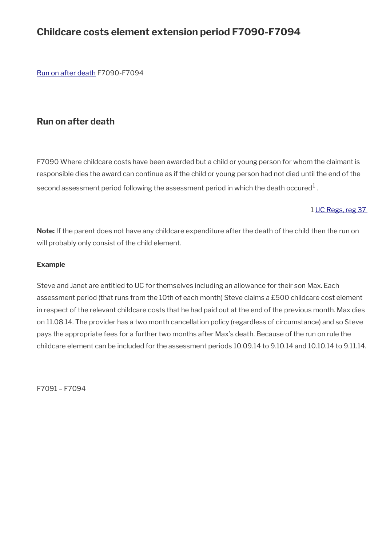# **Childcare costs element extension period F7090-F7094**

[Run on after death](#page-23-0) F7090-F7094

# <span id="page-23-0"></span>**Run on after death**

F7090 Where childcare costs have been awarded but a child or young person for whom the claimant is responsible dies the award can continue as if the child or young person had not died until the end of the second assessment period following the assessment period in which the death occured $^1$  .

### 1 [UC Regs, reg 37](https://www.legislation.gov.uk/uksi/2013/376/regulation/37)

**Note:** If the parent does not have any childcare expenditure after the death of the child then the run on will probably only consist of the child element.

#### **Example**

Steve and Janet are entitled to UC for themselves including an allowance for their son Max. Each assessment period (that runs from the 10th of each month) Steve claims a £500 childcare cost element in respect of the relevant childcare costs that he had paid out at the end of the previous month. Max dies on 11.08.14. The provider has a two month cancellation policy (regardless of circumstance) and so Steve pays the appropriate fees for a further two months after Max's death. Because of the run on rule the childcare element can be included for the assessment periods 10.09.14 to 9.10.14 and 10.10.14 to 9.11.14.

F7091 – F7094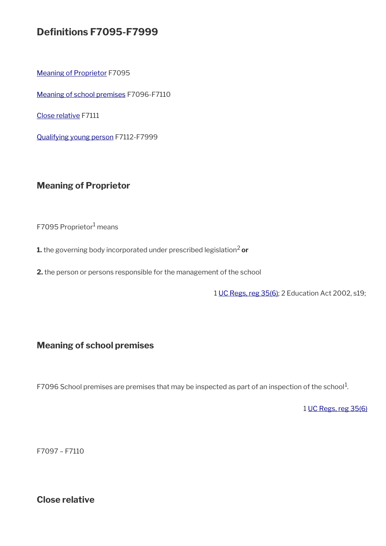# **Defnitions F7095-F7999**

[Meaning of Proprietor](#page-24-2) F7095

[Meaning of school premises](#page-24-1) F7096-F7110

[Close relative](#page-24-0) F7111

[Qualifying young person](#page-25-0) F7112-F7999

# <span id="page-24-2"></span>**Meaning of Proprietor**

F7095 Proprietor<sup>1</sup> means

**1.** the governing body incorporated under prescribed legislation<sup>2</sup> or

**2.** the person or persons responsible for the management of the school

1 [UC Regs, reg 35\(6\)](https://www.legislation.gov.uk/uksi/2013/376/regulation/35); 2 Education Act 2002, s19;

# <span id="page-24-1"></span>**Meaning of school premises**

F7096 School premises are premises that may be inspected as part of an inspection of the school $^1$ .

1 [UC Regs, reg 35\(6\)](https://www.legislation.gov.uk/uksi/2013/376/regulation/35)

F7097 – F7110

<span id="page-24-0"></span>**Close relative**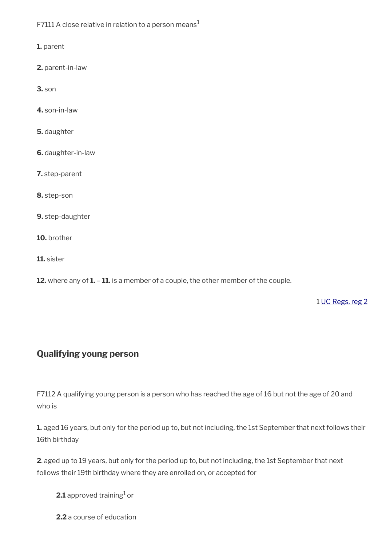F7111 A close relative in relation to a person means<sup>1</sup>

**1.** parent

**2.** parent-in-law

**3.** son

**4.** son-in-law

**5.** daughter

**6.** daughter-in-law

**7.** step-parent

**8.** step-son

**9.** step-daughter

**10.** brother

**11.** sister

**12.** where any of **1.** – **11.** is a member of a couple, the other member of the couple.

1 [UC Regs, reg 2](https://www.legislation.gov.uk/uksi/2013/376/regulation/2)

## <span id="page-25-0"></span>**Qualifying young person**

F7112 A qualifying young person is a person who has reached the age of 16 but not the age of 20 and who is

**1.** aged 16 years, but only for the period up to, but not including, the 1st September that next follows their 16th birthday

**2**. aged up to 19 years, but only for the period up to, but not including, the 1st September that next follows their 19th birthday where they are enrolled on, or accepted for

**2.1** approved training<sup>1</sup> or

**2.2** a course of education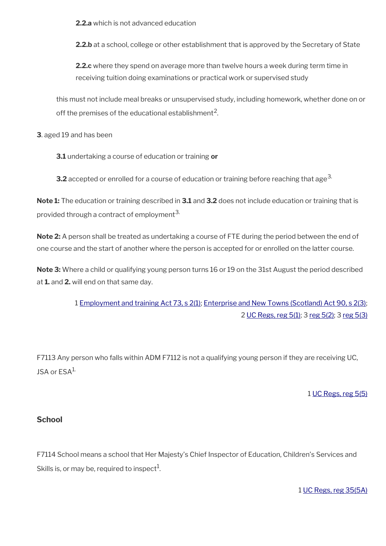**2.2.a** which is not advanced education

**2.2.b** at a school, college or other establishment that is approved by the Secretary of State

**2.2.c** where they spend on average more than twelve hours a week during term time in receiving tuition doing examinations or practical work or supervised study

this must not include meal breaks or unsupervised study, including homework, whether done on or off the premises of the educational establishment $^{\mathsf{2}}$ .

**3**. aged 19 and has been

**3.1** undertaking a course of education or training **or**

**3.2** accepted or enrolled for a course of education or training before reaching that age<sup>3.</sup>

**Note 1:** The education or training described in **3.1** and **3.2** does not include education or training that is provided through a contract of employment<sup>3.</sup>

**Note 2:** A person shall be treated as undertaking a course of FTE during the period between the end of one course and the start of another where the person is accepted for or enrolled on the latter course.

**Note 3:** Where a child or qualifying young person turns 16 or 19 on the 31st August the period described at **1.** and **2.** will end on that same day.

> 1 [Employment and training Act 73, s 2\(1\);](https://www.legislation.gov.uk/ukpga/1973/50/section/2) [Enterprise and New Towns \(Scotland\) Act 90, s 2\(3\);](https://www.legislation.gov.uk/ukpga/1990/35/section/2) 2 [UC Regs, reg 5\(1\);](https://www.legislation.gov.uk/uksi/2013/376/regulation/5) 3 [reg 5\(2\)](https://www.legislation.gov.uk/uksi/2013/376/regulation/5); 3 [reg 5\(3\)](https://www.legislation.gov.uk/uksi/2013/376/regulation/5)

F7113 Any person who falls within ADM F7112 is not a qualifying young person if they are receiving UC, JSA or ESA<sup>1.</sup>

### 1 [UC Regs, reg 5\(5\)](https://www.legislation.gov.uk/uksi/2013/376/regulation/5)

### **School**

F7114 School means a school that Her Majesty's Chief Inspector of Education, Children's Services and Skills is, or may be, required to inspect $^1$ .

1 [UC Regs, reg 35\(5A\)](https://www.legislation.gov.uk/uksi/2013/376/regulation/35)